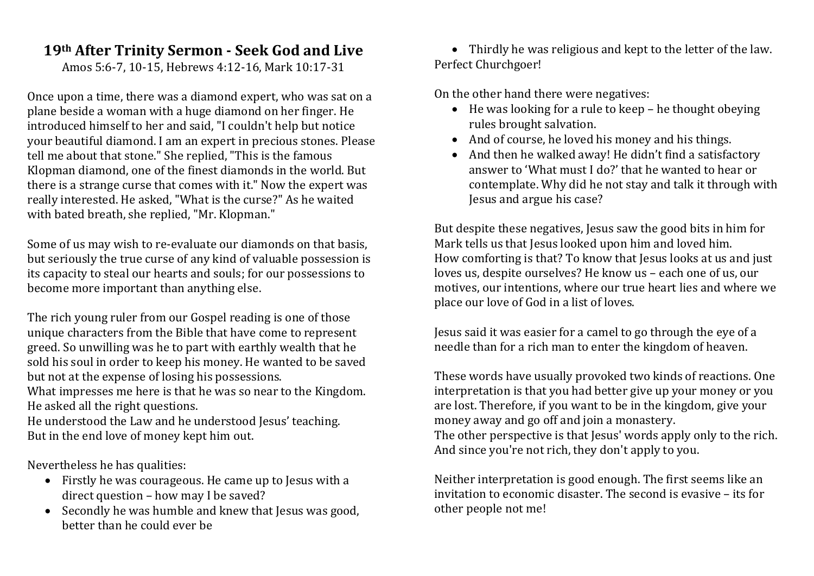## **19th After Trinity Sermon - Seek God and Live**

Amos 5:6-7, 10-15, Hebrews 4:12-16, Mark 10:17-31

Once upon a time, there was a diamond expert, who was sat on a plane beside a woman with a huge diamond on her finger. He introduced himself to her and said, "I couldn't help but notice your beautiful diamond. I am an expert in precious stones. Please tell me about that stone." She replied, "This is the famous Klopman diamond, one of the finest diamonds in the world. But there is a strange curse that comes with it." Now the expert was really interested. He asked, "What is the curse?" As he waited with bated breath, she replied, "Mr. Klopman."

Some of us may wish to re-evaluate our diamonds on that basis, but seriously the true curse of any kind of valuable possession is its capacity to steal our hearts and souls; for our possessions to become more important than anything else.

The rich young ruler from our Gospel reading is one of those unique characters from the Bible that have come to represent greed. So unwilling was he to part with earthly wealth that he sold his soul in order to keep his money. He wanted to be saved but not at the expense of losing his possessions.

What impresses me here is that he was so near to the Kingdom. He asked all the right questions.

He understood the Law and he understood Jesus' teaching. But in the end love of money kept him out.

Nevertheless he has qualities:

- Firstly he was courageous. He came up to Jesus with a direct question – how may I be saved?
- Secondly he was humble and knew that Jesus was good, better than he could ever be

• Thirdly he was religious and kept to the letter of the law. Perfect Churchgoer!

On the other hand there were negatives:

- He was looking for a rule to keep he thought obeying rules brought salvation.
- And of course, he loved his money and his things.
- And then he walked away! He didn't find a satisfactory answer to 'What must I do?' that he wanted to hear or contemplate. Why did he not stay and talk it through with Jesus and argue his case?

But despite these negatives, Jesus saw the good bits in him for Mark tells us that Jesus looked upon him and loved him. How comforting is that? To know that Jesus looks at us and just loves us, despite ourselves? He know us – each one of us, our motives, our intentions, where our true heart lies and where we place our love of God in a list of loves.

Jesus said it was easier for a camel to go through the eye of a needle than for a rich man to enter the kingdom of heaven.

These words have usually provoked two kinds of reactions. One interpretation is that you had better give up your money or you are lost. Therefore, if you want to be in the kingdom, give your money away and go off and join a monastery.

The other perspective is that Jesus' words apply only to the rich. And since you're not rich, they don't apply to you.

Neither interpretation is good enough. The first seems like an invitation to economic disaster. The second is evasive – its for other people not me!